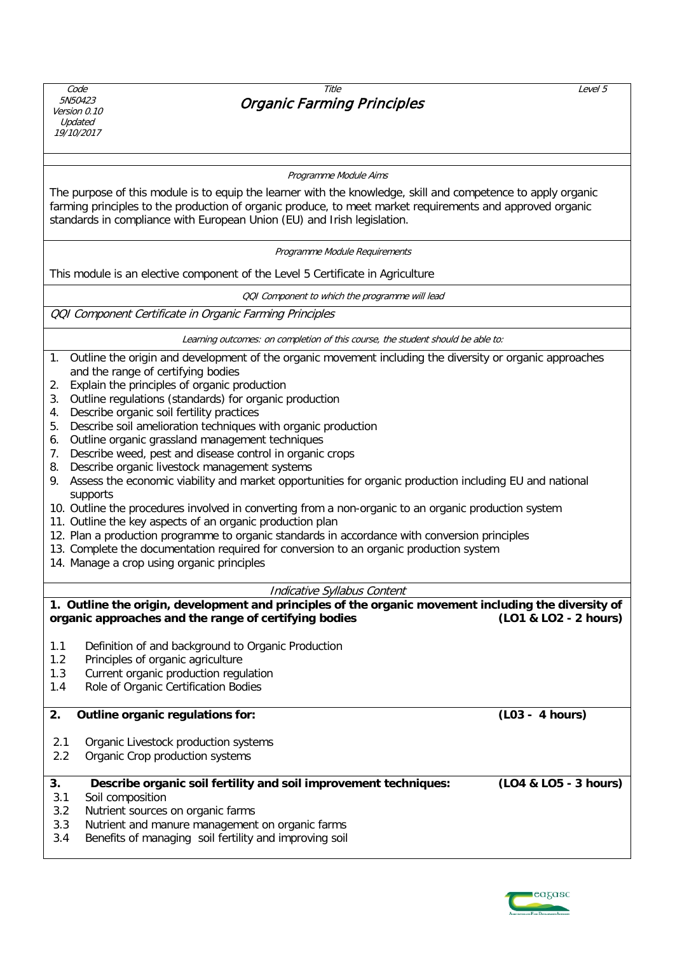Code 5N50423 Version 0.10 Updated 19/10/2017

### Title Organic Farming Principles

Level 5

#### Programme Module Aims

The purpose of this module is to equip the learner with the knowledge, skill and competence to apply organic farming principles to the production of organic produce, to meet market requirements and approved organic standards in compliance with European Union (EU) and Irish legislation.

Programme Module Requirements

This module is an elective component of the Level 5 Certificate in Agriculture

QQI Component to which the programme will lead

QQI Component Certificate in Organic Farming Principles

Learning outcomes: on completion of this course, the student should be able to:

- 1. Outline the origin and development of the organic movement including the diversity or organic approaches and the range of certifying bodies
- 2. Explain the principles of organic production
- 3. Outline regulations (standards) for organic production
- 4. Describe organic soil fertility practices
- 5. Describe soil amelioration techniques with organic production
- 6. Outline organic grassland management techniques
- 7. Describe weed, pest and disease control in organic crops
- 8. Describe organic livestock management systems
- 9. Assess the economic viability and market opportunities for organic production including EU and national supports
- 10. Outline the procedures involved in converting from a non-organic to an organic production system
- 11. Outline the key aspects of an organic production plan
- 12. Plan a production programme to organic standards in accordance with conversion principles
- 13. Complete the documentation required for conversion to an organic production system
- 14. Manage a crop using organic principles

#### Indicative Syllabus Content

**1. Outline the origin, development and principles of the organic movement including the diversity of organic approaches and the range of certifying bodies (LO1 & LO2 - 2 hours)** 1.1 Definition of and background to Organic Production 1.2 Principles of organic agriculture 1.3 Current organic production regulation 1.4 Role of Organic Certification Bodies **2. Outline organic regulations for: (L03 - 4 hours)** 2.1 Organic Livestock production systems 2.2 Organic Crop production systems **3. Describe organic soil fertility and soil improvement techniques: (LO4 & LO5 - 3 hours)** 3.1 Soil composition 3.2 Nutrient sources on organic farms 3.3 Nutrient and manure management on organic farms 3.4 Benefits of managing soil fertility and improving soil

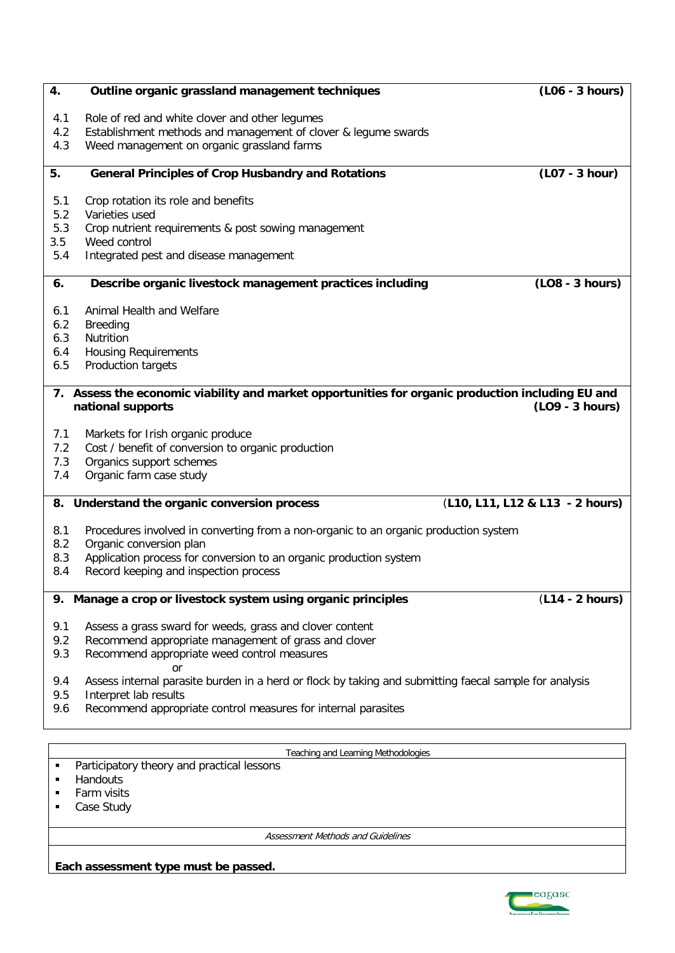| Role of red and white clover and other legumes<br>4.1<br>Establishment methods and management of clover & legume swards<br>4.2<br>Weed management on organic grassland farms<br>4.3<br>(L07 - 3 hour)<br>5.<br><b>General Principles of Crop Husbandry and Rotations</b><br>Crop rotation its role and benefits<br>5.1<br>5.2<br>Varieties used<br>5.3<br>Crop nutrient requirements & post sowing management<br>3.5<br>Weed control<br>5.4<br>Integrated pest and disease management<br>Describe organic livestock management practices including<br>(LO8 - 3 hours)<br>6.<br>Animal Health and Welfare<br>6.1<br>6.2<br><b>Breeding</b><br>6.3<br>Nutrition<br><b>Housing Requirements</b><br>6.4<br>Production targets<br>6.5<br>7. Assess the economic viability and market opportunities for organic production including EU and<br>(LO9 - 3 hours)<br>national supports<br>Markets for Irish organic produce<br>7.1<br>7.2<br>Cost / benefit of conversion to organic production<br>Organics support schemes<br>7.3<br>Organic farm case study<br>7.4<br>(L10, L11, L12 & L13 - 2 hours)<br>8. Understand the organic conversion process<br>8.1<br>Procedures involved in converting from a non-organic to an organic production system<br>Organic conversion plan<br>8.2<br>Application process for conversion to an organic production system<br>8.3<br>Record keeping and inspection process<br>8.4<br>(L14 - 2 hours)<br>9. Manage a crop or livestock system using organic principles<br>9.1<br>Assess a grass sward for weeds, grass and clover content<br>9.2<br>Recommend appropriate management of grass and clover<br>9.3<br>Recommend appropriate weed control measures<br>or<br>9.4<br>Assess internal parasite burden in a herd or flock by taking and submitting faecal sample for analysis<br>9.5<br>Interpret lab results<br>Recommend appropriate control measures for internal parasites<br>9.6<br>Teaching and Learning Methodologies<br>Participatory theory and practical lessons | 4. | Outline organic grassland management techniques | $\overline{(L06 - 3 \text{ hours})}$ |  |  |  |  |  |
|--------------------------------------------------------------------------------------------------------------------------------------------------------------------------------------------------------------------------------------------------------------------------------------------------------------------------------------------------------------------------------------------------------------------------------------------------------------------------------------------------------------------------------------------------------------------------------------------------------------------------------------------------------------------------------------------------------------------------------------------------------------------------------------------------------------------------------------------------------------------------------------------------------------------------------------------------------------------------------------------------------------------------------------------------------------------------------------------------------------------------------------------------------------------------------------------------------------------------------------------------------------------------------------------------------------------------------------------------------------------------------------------------------------------------------------------------------------------------------------------------------------------------------------------------------------------------------------------------------------------------------------------------------------------------------------------------------------------------------------------------------------------------------------------------------------------------------------------------------------------------------------------------------------------------------------------------------------------------------------------------------------|----|-------------------------------------------------|--------------------------------------|--|--|--|--|--|
|                                                                                                                                                                                                                                                                                                                                                                                                                                                                                                                                                                                                                                                                                                                                                                                                                                                                                                                                                                                                                                                                                                                                                                                                                                                                                                                                                                                                                                                                                                                                                                                                                                                                                                                                                                                                                                                                                                                                                                                                              |    |                                                 |                                      |  |  |  |  |  |
|                                                                                                                                                                                                                                                                                                                                                                                                                                                                                                                                                                                                                                                                                                                                                                                                                                                                                                                                                                                                                                                                                                                                                                                                                                                                                                                                                                                                                                                                                                                                                                                                                                                                                                                                                                                                                                                                                                                                                                                                              |    |                                                 |                                      |  |  |  |  |  |
|                                                                                                                                                                                                                                                                                                                                                                                                                                                                                                                                                                                                                                                                                                                                                                                                                                                                                                                                                                                                                                                                                                                                                                                                                                                                                                                                                                                                                                                                                                                                                                                                                                                                                                                                                                                                                                                                                                                                                                                                              |    |                                                 |                                      |  |  |  |  |  |
|                                                                                                                                                                                                                                                                                                                                                                                                                                                                                                                                                                                                                                                                                                                                                                                                                                                                                                                                                                                                                                                                                                                                                                                                                                                                                                                                                                                                                                                                                                                                                                                                                                                                                                                                                                                                                                                                                                                                                                                                              |    |                                                 |                                      |  |  |  |  |  |
|                                                                                                                                                                                                                                                                                                                                                                                                                                                                                                                                                                                                                                                                                                                                                                                                                                                                                                                                                                                                                                                                                                                                                                                                                                                                                                                                                                                                                                                                                                                                                                                                                                                                                                                                                                                                                                                                                                                                                                                                              |    |                                                 |                                      |  |  |  |  |  |
|                                                                                                                                                                                                                                                                                                                                                                                                                                                                                                                                                                                                                                                                                                                                                                                                                                                                                                                                                                                                                                                                                                                                                                                                                                                                                                                                                                                                                                                                                                                                                                                                                                                                                                                                                                                                                                                                                                                                                                                                              |    |                                                 |                                      |  |  |  |  |  |
|                                                                                                                                                                                                                                                                                                                                                                                                                                                                                                                                                                                                                                                                                                                                                                                                                                                                                                                                                                                                                                                                                                                                                                                                                                                                                                                                                                                                                                                                                                                                                                                                                                                                                                                                                                                                                                                                                                                                                                                                              |    |                                                 |                                      |  |  |  |  |  |
|                                                                                                                                                                                                                                                                                                                                                                                                                                                                                                                                                                                                                                                                                                                                                                                                                                                                                                                                                                                                                                                                                                                                                                                                                                                                                                                                                                                                                                                                                                                                                                                                                                                                                                                                                                                                                                                                                                                                                                                                              |    |                                                 |                                      |  |  |  |  |  |
|                                                                                                                                                                                                                                                                                                                                                                                                                                                                                                                                                                                                                                                                                                                                                                                                                                                                                                                                                                                                                                                                                                                                                                                                                                                                                                                                                                                                                                                                                                                                                                                                                                                                                                                                                                                                                                                                                                                                                                                                              |    |                                                 |                                      |  |  |  |  |  |
|                                                                                                                                                                                                                                                                                                                                                                                                                                                                                                                                                                                                                                                                                                                                                                                                                                                                                                                                                                                                                                                                                                                                                                                                                                                                                                                                                                                                                                                                                                                                                                                                                                                                                                                                                                                                                                                                                                                                                                                                              |    |                                                 |                                      |  |  |  |  |  |
|                                                                                                                                                                                                                                                                                                                                                                                                                                                                                                                                                                                                                                                                                                                                                                                                                                                                                                                                                                                                                                                                                                                                                                                                                                                                                                                                                                                                                                                                                                                                                                                                                                                                                                                                                                                                                                                                                                                                                                                                              |    |                                                 |                                      |  |  |  |  |  |
|                                                                                                                                                                                                                                                                                                                                                                                                                                                                                                                                                                                                                                                                                                                                                                                                                                                                                                                                                                                                                                                                                                                                                                                                                                                                                                                                                                                                                                                                                                                                                                                                                                                                                                                                                                                                                                                                                                                                                                                                              |    |                                                 |                                      |  |  |  |  |  |
|                                                                                                                                                                                                                                                                                                                                                                                                                                                                                                                                                                                                                                                                                                                                                                                                                                                                                                                                                                                                                                                                                                                                                                                                                                                                                                                                                                                                                                                                                                                                                                                                                                                                                                                                                                                                                                                                                                                                                                                                              |    |                                                 |                                      |  |  |  |  |  |
|                                                                                                                                                                                                                                                                                                                                                                                                                                                                                                                                                                                                                                                                                                                                                                                                                                                                                                                                                                                                                                                                                                                                                                                                                                                                                                                                                                                                                                                                                                                                                                                                                                                                                                                                                                                                                                                                                                                                                                                                              |    |                                                 |                                      |  |  |  |  |  |
|                                                                                                                                                                                                                                                                                                                                                                                                                                                                                                                                                                                                                                                                                                                                                                                                                                                                                                                                                                                                                                                                                                                                                                                                                                                                                                                                                                                                                                                                                                                                                                                                                                                                                                                                                                                                                                                                                                                                                                                                              |    |                                                 |                                      |  |  |  |  |  |
|                                                                                                                                                                                                                                                                                                                                                                                                                                                                                                                                                                                                                                                                                                                                                                                                                                                                                                                                                                                                                                                                                                                                                                                                                                                                                                                                                                                                                                                                                                                                                                                                                                                                                                                                                                                                                                                                                                                                                                                                              |    |                                                 |                                      |  |  |  |  |  |
|                                                                                                                                                                                                                                                                                                                                                                                                                                                                                                                                                                                                                                                                                                                                                                                                                                                                                                                                                                                                                                                                                                                                                                                                                                                                                                                                                                                                                                                                                                                                                                                                                                                                                                                                                                                                                                                                                                                                                                                                              |    |                                                 |                                      |  |  |  |  |  |
|                                                                                                                                                                                                                                                                                                                                                                                                                                                                                                                                                                                                                                                                                                                                                                                                                                                                                                                                                                                                                                                                                                                                                                                                                                                                                                                                                                                                                                                                                                                                                                                                                                                                                                                                                                                                                                                                                                                                                                                                              |    |                                                 |                                      |  |  |  |  |  |
|                                                                                                                                                                                                                                                                                                                                                                                                                                                                                                                                                                                                                                                                                                                                                                                                                                                                                                                                                                                                                                                                                                                                                                                                                                                                                                                                                                                                                                                                                                                                                                                                                                                                                                                                                                                                                                                                                                                                                                                                              |    |                                                 |                                      |  |  |  |  |  |
|                                                                                                                                                                                                                                                                                                                                                                                                                                                                                                                                                                                                                                                                                                                                                                                                                                                                                                                                                                                                                                                                                                                                                                                                                                                                                                                                                                                                                                                                                                                                                                                                                                                                                                                                                                                                                                                                                                                                                                                                              |    |                                                 |                                      |  |  |  |  |  |
|                                                                                                                                                                                                                                                                                                                                                                                                                                                                                                                                                                                                                                                                                                                                                                                                                                                                                                                                                                                                                                                                                                                                                                                                                                                                                                                                                                                                                                                                                                                                                                                                                                                                                                                                                                                                                                                                                                                                                                                                              |    |                                                 |                                      |  |  |  |  |  |
|                                                                                                                                                                                                                                                                                                                                                                                                                                                                                                                                                                                                                                                                                                                                                                                                                                                                                                                                                                                                                                                                                                                                                                                                                                                                                                                                                                                                                                                                                                                                                                                                                                                                                                                                                                                                                                                                                                                                                                                                              |    |                                                 |                                      |  |  |  |  |  |
|                                                                                                                                                                                                                                                                                                                                                                                                                                                                                                                                                                                                                                                                                                                                                                                                                                                                                                                                                                                                                                                                                                                                                                                                                                                                                                                                                                                                                                                                                                                                                                                                                                                                                                                                                                                                                                                                                                                                                                                                              |    |                                                 |                                      |  |  |  |  |  |
|                                                                                                                                                                                                                                                                                                                                                                                                                                                                                                                                                                                                                                                                                                                                                                                                                                                                                                                                                                                                                                                                                                                                                                                                                                                                                                                                                                                                                                                                                                                                                                                                                                                                                                                                                                                                                                                                                                                                                                                                              |    |                                                 |                                      |  |  |  |  |  |
|                                                                                                                                                                                                                                                                                                                                                                                                                                                                                                                                                                                                                                                                                                                                                                                                                                                                                                                                                                                                                                                                                                                                                                                                                                                                                                                                                                                                                                                                                                                                                                                                                                                                                                                                                                                                                                                                                                                                                                                                              |    |                                                 |                                      |  |  |  |  |  |
|                                                                                                                                                                                                                                                                                                                                                                                                                                                                                                                                                                                                                                                                                                                                                                                                                                                                                                                                                                                                                                                                                                                                                                                                                                                                                                                                                                                                                                                                                                                                                                                                                                                                                                                                                                                                                                                                                                                                                                                                              |    |                                                 |                                      |  |  |  |  |  |
|                                                                                                                                                                                                                                                                                                                                                                                                                                                                                                                                                                                                                                                                                                                                                                                                                                                                                                                                                                                                                                                                                                                                                                                                                                                                                                                                                                                                                                                                                                                                                                                                                                                                                                                                                                                                                                                                                                                                                                                                              |    |                                                 |                                      |  |  |  |  |  |
|                                                                                                                                                                                                                                                                                                                                                                                                                                                                                                                                                                                                                                                                                                                                                                                                                                                                                                                                                                                                                                                                                                                                                                                                                                                                                                                                                                                                                                                                                                                                                                                                                                                                                                                                                                                                                                                                                                                                                                                                              |    |                                                 |                                      |  |  |  |  |  |
|                                                                                                                                                                                                                                                                                                                                                                                                                                                                                                                                                                                                                                                                                                                                                                                                                                                                                                                                                                                                                                                                                                                                                                                                                                                                                                                                                                                                                                                                                                                                                                                                                                                                                                                                                                                                                                                                                                                                                                                                              |    |                                                 |                                      |  |  |  |  |  |
|                                                                                                                                                                                                                                                                                                                                                                                                                                                                                                                                                                                                                                                                                                                                                                                                                                                                                                                                                                                                                                                                                                                                                                                                                                                                                                                                                                                                                                                                                                                                                                                                                                                                                                                                                                                                                                                                                                                                                                                                              |    |                                                 |                                      |  |  |  |  |  |
|                                                                                                                                                                                                                                                                                                                                                                                                                                                                                                                                                                                                                                                                                                                                                                                                                                                                                                                                                                                                                                                                                                                                                                                                                                                                                                                                                                                                                                                                                                                                                                                                                                                                                                                                                                                                                                                                                                                                                                                                              |    |                                                 |                                      |  |  |  |  |  |
|                                                                                                                                                                                                                                                                                                                                                                                                                                                                                                                                                                                                                                                                                                                                                                                                                                                                                                                                                                                                                                                                                                                                                                                                                                                                                                                                                                                                                                                                                                                                                                                                                                                                                                                                                                                                                                                                                                                                                                                                              |    |                                                 |                                      |  |  |  |  |  |
|                                                                                                                                                                                                                                                                                                                                                                                                                                                                                                                                                                                                                                                                                                                                                                                                                                                                                                                                                                                                                                                                                                                                                                                                                                                                                                                                                                                                                                                                                                                                                                                                                                                                                                                                                                                                                                                                                                                                                                                                              |    |                                                 |                                      |  |  |  |  |  |
|                                                                                                                                                                                                                                                                                                                                                                                                                                                                                                                                                                                                                                                                                                                                                                                                                                                                                                                                                                                                                                                                                                                                                                                                                                                                                                                                                                                                                                                                                                                                                                                                                                                                                                                                                                                                                                                                                                                                                                                                              |    |                                                 |                                      |  |  |  |  |  |
|                                                                                                                                                                                                                                                                                                                                                                                                                                                                                                                                                                                                                                                                                                                                                                                                                                                                                                                                                                                                                                                                                                                                                                                                                                                                                                                                                                                                                                                                                                                                                                                                                                                                                                                                                                                                                                                                                                                                                                                                              |    |                                                 |                                      |  |  |  |  |  |
|                                                                                                                                                                                                                                                                                                                                                                                                                                                                                                                                                                                                                                                                                                                                                                                                                                                                                                                                                                                                                                                                                                                                                                                                                                                                                                                                                                                                                                                                                                                                                                                                                                                                                                                                                                                                                                                                                                                                                                                                              |    |                                                 |                                      |  |  |  |  |  |
|                                                                                                                                                                                                                                                                                                                                                                                                                                                                                                                                                                                                                                                                                                                                                                                                                                                                                                                                                                                                                                                                                                                                                                                                                                                                                                                                                                                                                                                                                                                                                                                                                                                                                                                                                                                                                                                                                                                                                                                                              |    |                                                 |                                      |  |  |  |  |  |
|                                                                                                                                                                                                                                                                                                                                                                                                                                                                                                                                                                                                                                                                                                                                                                                                                                                                                                                                                                                                                                                                                                                                                                                                                                                                                                                                                                                                                                                                                                                                                                                                                                                                                                                                                                                                                                                                                                                                                                                                              |    |                                                 |                                      |  |  |  |  |  |

- **Handouts**
- **Farm visits**
- Case Study

Assessment Methods and Guidelines

**Each assessment type must be passed.**